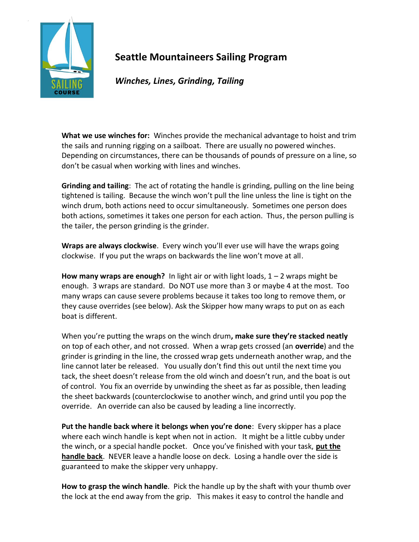

## **Seattle Mountaineers Sailing Program**

*Winches, Lines, Grinding, Tailing*

**What we use winches for:** Winches provide the mechanical advantage to hoist and trim the sails and running rigging on a sailboat. There are usually no powered winches. Depending on circumstances, there can be thousands of pounds of pressure on a line, so don't be casual when working with lines and winches.

**Grinding and tailing**: The act of rotating the handle is grinding, pulling on the line being tightened is tailing. Because the winch won't pull the line unless the line is tight on the winch drum, both actions need to occur simultaneously. Sometimes one person does both actions, sometimes it takes one person for each action. Thus, the person pulling is the tailer, the person grinding is the grinder.

**Wraps are always clockwise**. Every winch you'll ever use will have the wraps going clockwise. If you put the wraps on backwards the line won't move at all.

**How many wraps are enough?** In light air or with light loads, 1 – 2 wraps might be enough. 3 wraps are standard. Do NOT use more than 3 or maybe 4 at the most. Too many wraps can cause severe problems because it takes too long to remove them, or they cause overrides (see below). Ask the Skipper how many wraps to put on as each boat is different.

When you're putting the wraps on the winch drum**, make sure they're stacked neatly** on top of each other, and not crossed. When a wrap gets crossed (an **override**) and the grinder is grinding in the line, the crossed wrap gets underneath another wrap, and the line cannot later be released. You usually don't find this out until the next time you tack, the sheet doesn't release from the old winch and doesn't run, and the boat is out of control. You fix an override by unwinding the sheet as far as possible, then leading the sheet backwards (counterclockwise to another winch, and grind until you pop the override. An override can also be caused by leading a line incorrectly.

**Put the handle back where it belongs when you're done**: Every skipper has a place where each winch handle is kept when not in action. It might be a little cubby under the winch, or a special handle pocket. Once you've finished with your task, **put the handle back**. NEVER leave a handle loose on deck. Losing a handle over the side is guaranteed to make the skipper very unhappy.

**How to grasp the winch handle**. Pick the handle up by the shaft with your thumb over the lock at the end away from the grip. This makes it easy to control the handle and